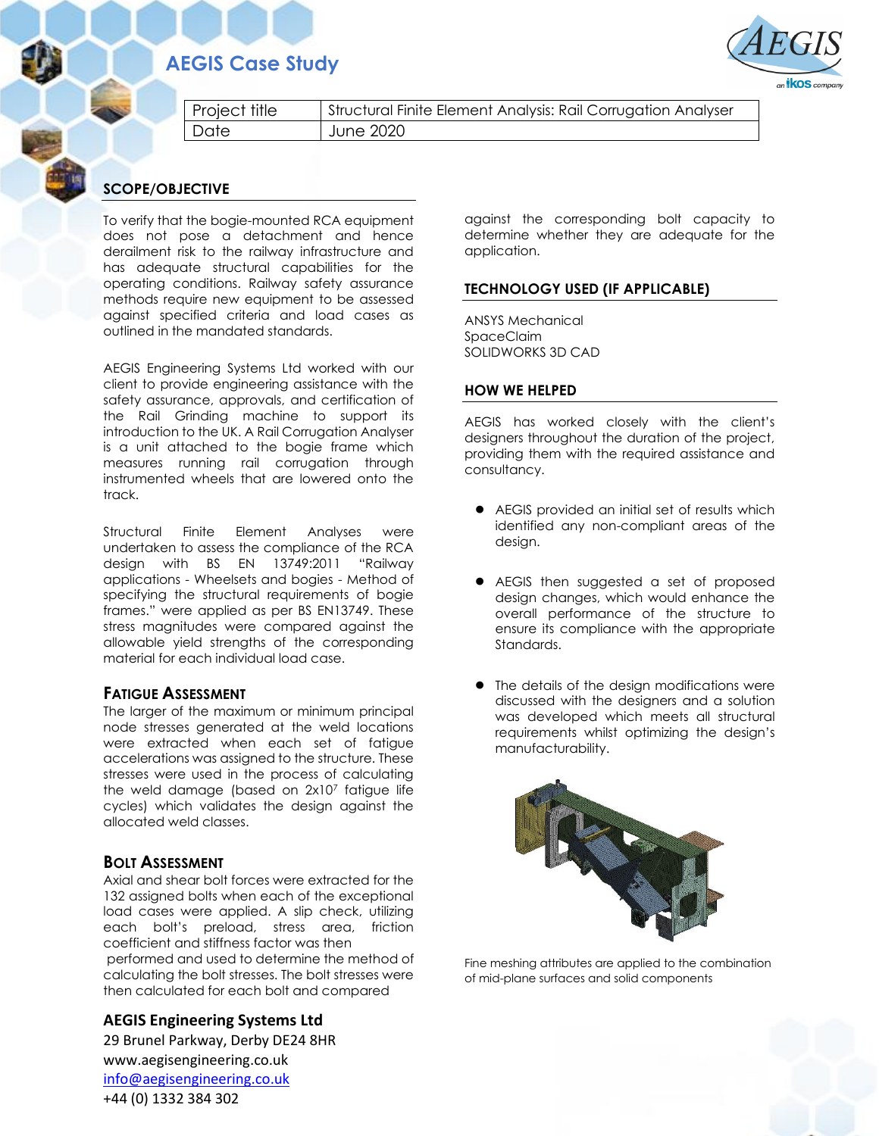## **AEGIS Case Study**



Project title | Structural Finite Element Analysis: Rail Corrugation Analyser Date June 2020

### **SCOPE/OBJECTIVE**

To verify that the bogie-mounted RCA equipment does not pose a detachment and hence derailment risk to the railway infrastructure and has adequate structural capabilities for the operating conditions. Railway safety assurance methods require new equipment to be assessed against specified criteria and load cases as outlined in the mandated standards.

AEGIS Engineering Systems Ltd worked with our client to provide engineering assistance with the safety assurance, approvals, and certification of the Rail Grinding machine to support its introduction to the UK. A Rail Corrugation Analyser is a unit attached to the bogie frame which measures running rail corrugation through instrumented wheels that are lowered onto the track.

Structural Finite Element Analyses were undertaken to assess the compliance of the RCA design with BS EN 13749:2011 "Railway applications - Wheelsets and bogies - Method of specifying the structural requirements of bogie frames." were applied as per BS EN13749. These stress magnitudes were compared against the allowable yield strengths of the corresponding material for each individual load case.

#### **FATIGUE ASSESSMENT**

The larger of the maximum or minimum principal node stresses generated at the weld locations were extracted when each set of fatigue accelerations was assigned to the structure. These stresses were used in the process of calculating the weld damage (based on 2x10<sup>7</sup> fatigue life cycles) which validates the design against the allocated weld classes.

### **BOLT ASSESSMENT**

Axial and shear bolt forces were extracted for the 132 assigned bolts when each of the exceptional load cases were applied. A slip check, utilizing each bolt's preload, stress area, friction coefficient and stiffness factor was then performed and used to determine the method of calculating the bolt stresses. The bolt stresses were then calculated for each bolt and compared

**AEGIS Engineering Systems Ltd**

29 Brunel Parkway, Derby DE24 8HR www.aegisengineering.co.uk [info@aegisengineering.co.uk](mailto:info@aegisengineering.co.uk) +44 (0) 1332 384 302

against the corresponding bolt capacity to determine whether they are adequate for the application.

### **TECHNOLOGY USED (IF APPLICABLE)**

ANSYS Mechanical SpaceClaim SOLIDWORKS 3D CAD

#### **HOW WE HELPED**

AEGIS has worked closely with the client's designers throughout the duration of the project, providing them with the required assistance and consultancy.

- AEGIS provided an initial set of results which identified any non-compliant areas of the design.
- AEGIS then suggested a set of proposed design changes, which would enhance the overall performance of the structure to ensure its compliance with the appropriate Standards.
- The details of the design modifications were discussed with the designers and a solution was developed which meets all structural requirements whilst optimizing the design's manufacturability.



Fine meshing attributes are applied to the combination of mid-plane surfaces and solid components